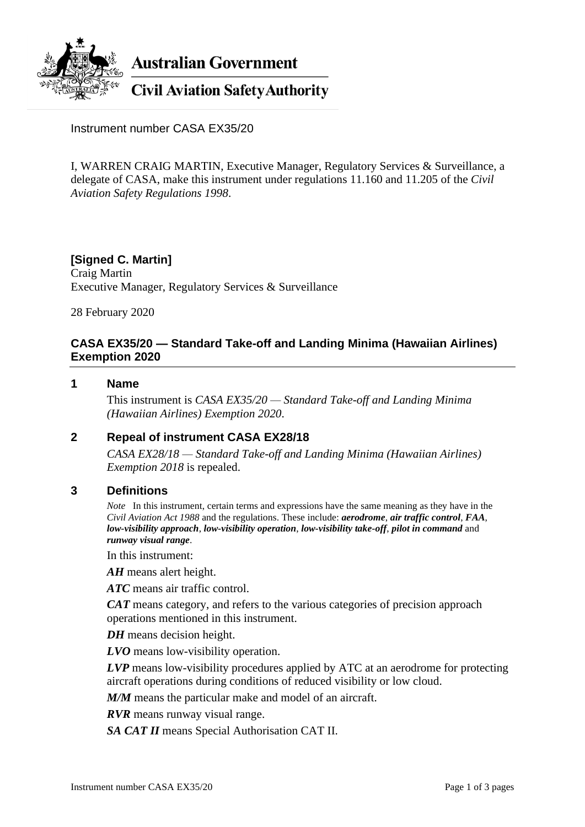

**Australian Government** 

**Civil Aviation Safety Authority** 

Instrument number CASA EX35/20

I, WARREN CRAIG MARTIN, Executive Manager, Regulatory Services & Surveillance, a delegate of CASA, make this instrument under regulations 11.160 and 11.205 of the *Civil Aviation Safety Regulations 1998*.

# **[Signed C. Martin]** Craig Martin Executive Manager, Regulatory Services & Surveillance

28 February 2020

# **CASA EX35/20 — Standard Take-off and Landing Minima (Hawaiian Airlines) Exemption 2020**

#### **1 Name**

This instrument is *CASA EX35/20 — Standard Take-off and Landing Minima (Hawaiian Airlines) Exemption 2020*.

# **2 Repeal of instrument CASA EX28/18**

*CASA EX28/18 — Standard Take-off and Landing Minima (Hawaiian Airlines) Exemption 2018* is repealed.

### **3 Definitions**

*Note* In this instrument, certain terms and expressions have the same meaning as they have in the *Civil Aviation Act 1988* and the regulations. These include: *aerodrome*, *air traffic control*, *FAA*, *low-visibility approach*, *low-visibility operation*, *low-visibility take-off*, *pilot in command* and *runway visual range*.

In this instrument:

*AH* means alert height.

*ATC* means air traffic control.

*CAT* means category, and refers to the various categories of precision approach operations mentioned in this instrument.

*DH* means decision height.

*LVO* means low-visibility operation.

*LVP* means low-visibility procedures applied by ATC at an aerodrome for protecting aircraft operations during conditions of reduced visibility or low cloud.

*M/M* means the particular make and model of an aircraft.

*RVR* means runway visual range.

*SA CAT II* means Special Authorisation CAT II.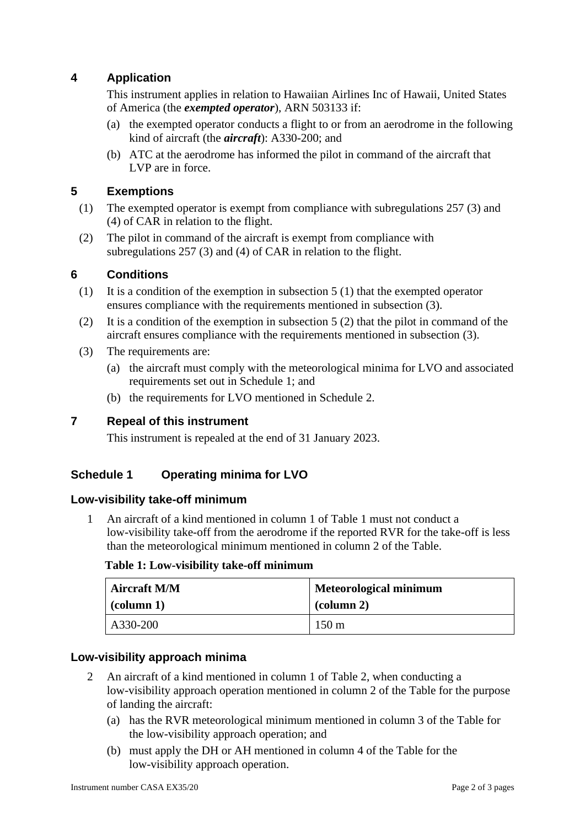# **4 Application**

This instrument applies in relation to Hawaiian Airlines Inc of Hawaii, United States of America (the *exempted operator*), ARN 503133 if:

- (a) the exempted operator conducts a flight to or from an aerodrome in the following kind of aircraft (the *aircraft*): A330-200; and
- (b) ATC at the aerodrome has informed the pilot in command of the aircraft that LVP are in force.

# **5 Exemptions**

- (1) The exempted operator is exempt from compliance with subregulations 257 (3) and (4) of CAR in relation to the flight.
- (2) The pilot in command of the aircraft is exempt from compliance with subregulations 257 (3) and (4) of CAR in relation to the flight.

### **6 Conditions**

- (1) It is a condition of the exemption in subsection  $5(1)$  that the exempted operator ensures compliance with the requirements mentioned in subsection (3).
- (2) It is a condition of the exemption in subsection  $5(2)$  that the pilot in command of the aircraft ensures compliance with the requirements mentioned in subsection (3).
- (3) The requirements are:
	- (a) the aircraft must comply with the meteorological minima for LVO and associated requirements set out in Schedule 1; and
	- (b) the requirements for LVO mentioned in Schedule 2.

### **7 Repeal of this instrument**

This instrument is repealed at the end of 31 January 2023.

### **Schedule 1 Operating minima for LVO**

#### **Low-visibility take-off minimum**

1 An aircraft of a kind mentioned in column 1 of Table 1 must not conduct a low-visibility take-off from the aerodrome if the reported RVR for the take-off is less than the meteorological minimum mentioned in column 2 of the Table.

#### **Table 1: Low-visibility take-off minimum**

| <b>Aircraft M/M</b> | <b>Meteorological minimum</b> |  |
|---------------------|-------------------------------|--|
| $\alpha$ (column 1) | $\alpha$ (column 2)           |  |
| A330-200            | $150 \text{ m}$               |  |

### **Low-visibility approach minima**

- 2 An aircraft of a kind mentioned in column 1 of Table 2, when conducting a low-visibility approach operation mentioned in column 2 of the Table for the purpose of landing the aircraft:
	- (a) has the RVR meteorological minimum mentioned in column 3 of the Table for the low-visibility approach operation; and
	- (b) must apply the DH or AH mentioned in column 4 of the Table for the low-visibility approach operation.